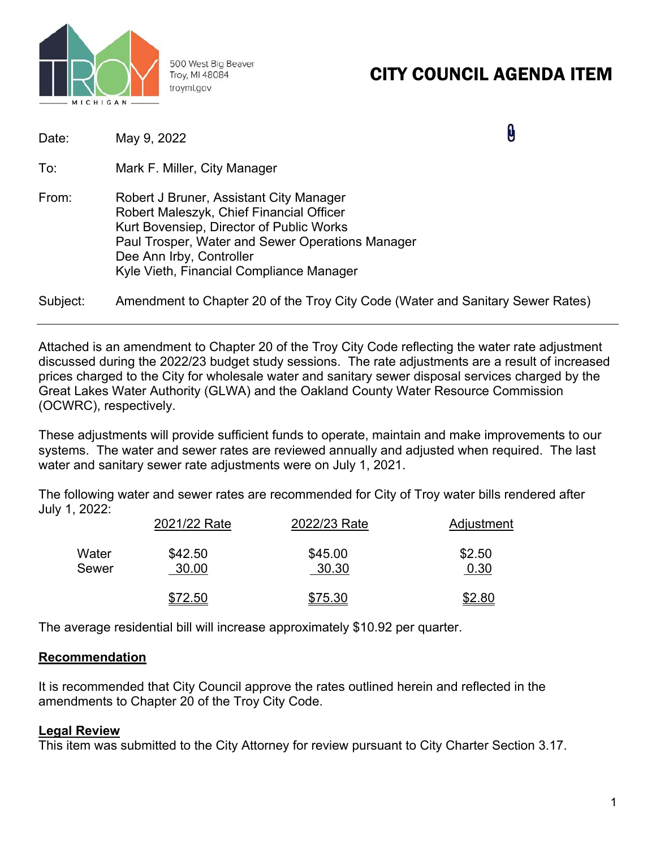

500 West Big Beaver Troy, MI 48084 troymi.gov

# CITY COUNCIL AGENDA ITEM

| Date:    | May 9, 2022                                                                                                                                                                                                                                                 | 0 |
|----------|-------------------------------------------------------------------------------------------------------------------------------------------------------------------------------------------------------------------------------------------------------------|---|
| To:      | Mark F. Miller, City Manager                                                                                                                                                                                                                                |   |
| From:    | Robert J Bruner, Assistant City Manager<br>Robert Maleszyk, Chief Financial Officer<br>Kurt Bovensiep, Director of Public Works<br>Paul Trosper, Water and Sewer Operations Manager<br>Dee Ann Irby, Controller<br>Kyle Vieth, Financial Compliance Manager |   |
| Subject: | Amendment to Chapter 20 of the Troy City Code (Water and Sanitary Sewer Rates)                                                                                                                                                                              |   |

Attached is an amendment to Chapter 20 of the Troy City Code reflecting the water rate adjustment discussed during the 2022/23 budget study sessions. The rate adjustments are a result of increased prices charged to the City for wholesale water and sanitary sewer disposal services charged by the Great Lakes Water Authority (GLWA) and the Oakland County Water Resource Commission (OCWRC), respectively.

These adjustments will provide sufficient funds to operate, maintain and make improvements to our systems. The water and sewer rates are reviewed annually and adjusted when required. The last water and sanitary sewer rate adjustments were on July 1, 2021.

The following water and sewer rates are recommended for City of Troy water bills rendered after July 1, 2022:

|       | 2021/22 Rate | 2022/23 Rate | Adjustment    |
|-------|--------------|--------------|---------------|
| Water | \$42.50      | \$45.00      | \$2.50        |
| Sewer | 30.00        | 30.30        | 0.30          |
|       | \$72.50      | \$75.30      | <u>\$2.80</u> |

The average residential bill will increase approximately \$10.92 per quarter.

# **Recommendation**

It is recommended that City Council approve the rates outlined herein and reflected in the amendments to Chapter 20 of the Troy City Code.

# **Legal Review**

This item was submitted to the City Attorney for review pursuant to City Charter Section 3.17.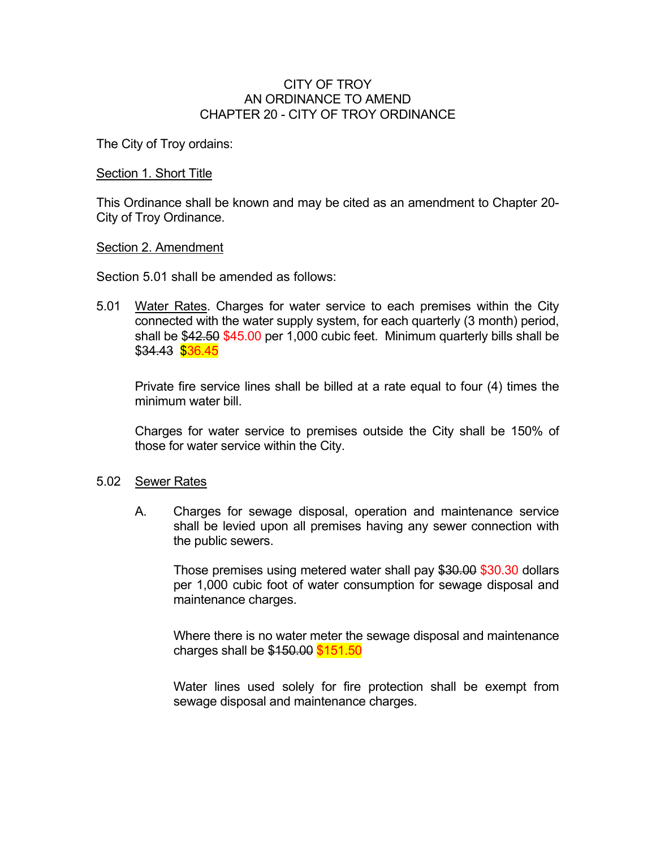## CITY OF TROY AN ORDINANCE TO AMEND CHAPTER 20 - CITY OF TROY ORDINANCE

The City of Troy ordains:

### Section 1. Short Title

This Ordinance shall be known and may be cited as an amendment to Chapter 20- City of Troy Ordinance.

#### Section 2. Amendment

Section 5.01 shall be amended as follows:

5.01 Water Rates. Charges for water service to each premises within the City connected with the water supply system, for each quarterly (3 month) period, shall be \$42.50 \$45.00 per 1,000 cubic feet. Minimum quarterly bills shall be \$34.43 \$36.45

Private fire service lines shall be billed at a rate equal to four (4) times the minimum water bill.

 Charges for water service to premises outside the City shall be 150% of those for water service within the City.

#### 5.02 Sewer Rates

 A. Charges for sewage disposal, operation and maintenance service shall be levied upon all premises having any sewer connection with the public sewers.

 Those premises using metered water shall pay \$30.00 \$30.30 dollars per 1,000 cubic foot of water consumption for sewage disposal and maintenance charges.

 Where there is no water meter the sewage disposal and maintenance charges shall be \$150.00 \$151.50

 Water lines used solely for fire protection shall be exempt from sewage disposal and maintenance charges.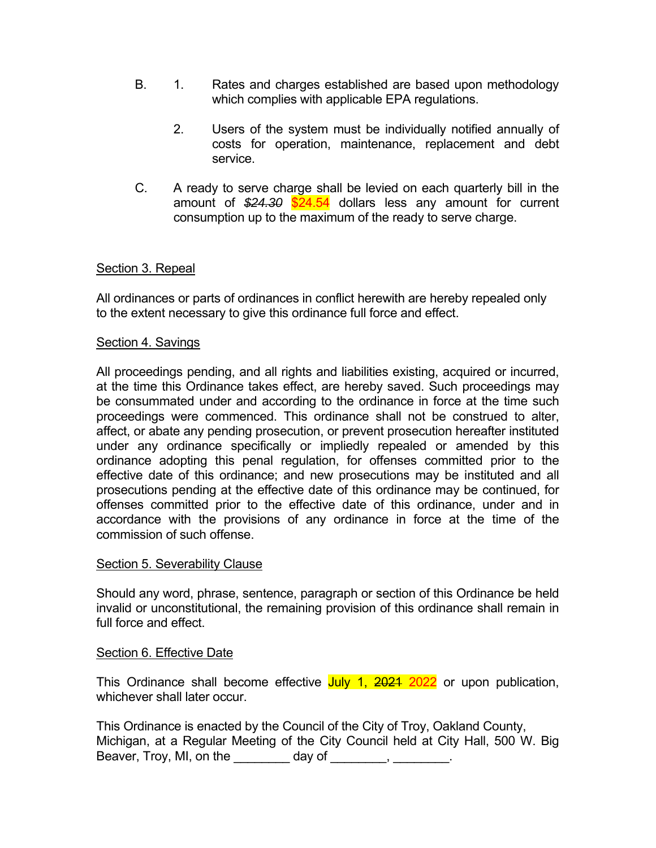- B. 1. Rates and charges established are based upon methodology which complies with applicable EPA regulations.
	- 2. Users of the system must be individually notified annually of costs for operation, maintenance, replacement and debt service.
- C. A ready to serve charge shall be levied on each quarterly bill in the amount of *\$24.30* \$24.54 dollars less any amount for current consumption up to the maximum of the ready to serve charge.

# Section 3. Repeal

All ordinances or parts of ordinances in conflict herewith are hereby repealed only to the extent necessary to give this ordinance full force and effect.

# Section 4. Savings

All proceedings pending, and all rights and liabilities existing, acquired or incurred, at the time this Ordinance takes effect, are hereby saved. Such proceedings may be consummated under and according to the ordinance in force at the time such proceedings were commenced. This ordinance shall not be construed to alter, affect, or abate any pending prosecution, or prevent prosecution hereafter instituted under any ordinance specifically or impliedly repealed or amended by this ordinance adopting this penal regulation, for offenses committed prior to the effective date of this ordinance; and new prosecutions may be instituted and all prosecutions pending at the effective date of this ordinance may be continued, for offenses committed prior to the effective date of this ordinance, under and in accordance with the provisions of any ordinance in force at the time of the commission of such offense.

## Section 5. Severability Clause

Should any word, phrase, sentence, paragraph or section of this Ordinance be held invalid or unconstitutional, the remaining provision of this ordinance shall remain in full force and effect.

## Section 6. Effective Date

This Ordinance shall become effective July 1, 2021 2022 or upon publication, whichever shall later occur

| This Ordinance is enacted by the Council of the City of Troy, Oakland County, |                                                                                  |  |  |  |  |
|-------------------------------------------------------------------------------|----------------------------------------------------------------------------------|--|--|--|--|
|                                                                               | Michigan, at a Regular Meeting of the City Council held at City Hall, 500 W. Big |  |  |  |  |
| Beaver, Troy, MI, on the                                                      | day of                                                                           |  |  |  |  |